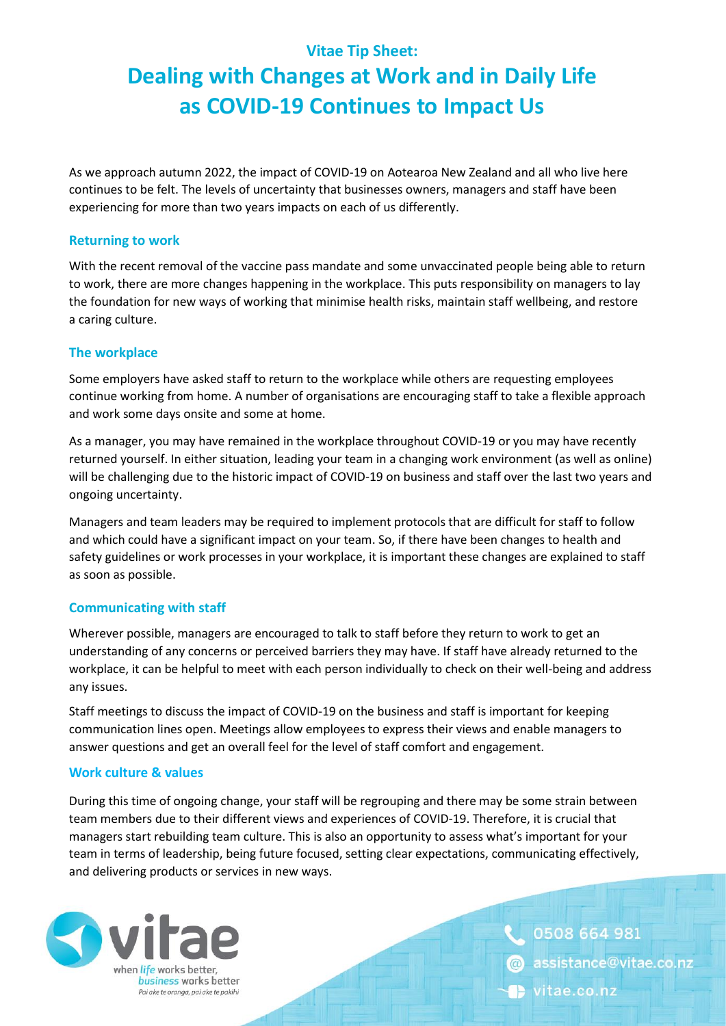## **Vitae Tip Sheet:**

# **Dealing with Changes at Work and in Daily Life as COVID-19 Continues to Impact Us**

As we approach autumn 2022, the impact of COVID-19 on Aotearoa New Zealand and all who live here continues to be felt. The levels of uncertainty that businesses owners, managers and staff have been experiencing for more than two years impacts on each of us differently.

#### **Returning to work**

With the recent removal of the vaccine pass mandate and some unvaccinated people being able to return to work, there are more changes happening in the workplace. This puts responsibility on managers to lay the foundation for new ways of working that minimise health risks, maintain staff wellbeing, and restore a caring culture.

#### **The workplace**

Some employers have asked staff to return to the workplace while others are requesting employees continue working from home. A number of organisations are encouraging staff to take a flexible approach and work some days onsite and some at home.

As a manager, you may have remained in the workplace throughout COVID-19 or you may have recently returned yourself. In either situation, leading your team in a changing work environment (as well as online) will be challenging due to the historic impact of COVID-19 on business and staff over the last two years and ongoing uncertainty.

Managers and team leaders may be required to implement protocols that are difficult for staff to follow and which could have a significant impact on your team. So, if there have been changes to health and safety guidelines or work processes in your workplace, it is important these changes are explained to staff as soon as possible.

### **Communicating with staff**

Wherever possible, managers are encouraged to talk to staff before they return to work to get an understanding of any concerns or perceived barriers they may have. If staff have already returned to the workplace, it can be helpful to meet with each person individually to check on their well-being and address any issues.

Staff meetings to discuss the impact of COVID-19 on the business and staff is important for keeping communication lines open. Meetings allow employees to express their views and enable managers to answer questions and get an overall feel for the level of staff comfort and engagement.

### **Work culture & values**

During this time of ongoing change, your staff will be regrouping and there may be some strain between team members due to their different views and experiences of COVID-19. Therefore, it is crucial that managers start rebuilding team culture. This is also an opportunity to assess what's important for your team in terms of leadership, being future focused, setting clear expectations, communicating effectively, and delivering products or services in new ways.



0508 664 981 assistance@vitae.co.nz vitae.co.nz